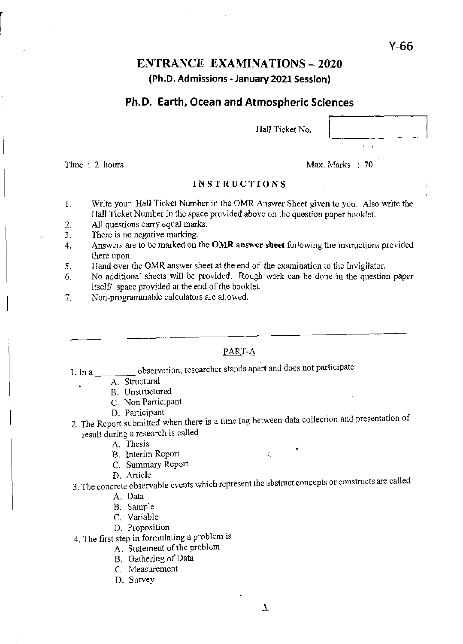# ENTRANCE EXAMINATIONS - 2020 (Ph.D. Admissions - January 2021 Session)

# Ph.D. Earth, Ocean and Atmospheric Sciences

Hall Ticket N

| o. |  |  |
|----|--|--|
|    |  |  |

Y-66

Time : 2 hours

Max. Marks : 70

### INSTRUCTIONS

- 1. Write your Hall Ticket Number in the OMR Answer Sheet given to you. Also write the Hall Ticket Number in the space provided above on the question paper booklet.
- 2. All questions carry equal marks.
- 3. There is no negative marking.
- 4. Answers are to be marked on the **OMR answer sheet** following the instructions provided there upon.
- 5. Hand over the OMR answer sheet at the end of the examination to the Invigilator.
- 6. No additional sheets will be provided. Rough work can be done in the question paper itself/ space provided at the end of the booklet.
- 7. Non-programmable calculators are allowed.

# PART-A

1. In a \_\_\_\_\_\_\_\_\_ observation, researcher stands apart and does not participate

- A. Structural
	- B. Unstructured
	- C. Non Participant
	- D. Participant
- 2. The Report submitted when there is a time lag between data collection and presentation of articipate result during a research is called

÷.

- A. Thesis
- B. Interim Report
- C. Summary Report
- D. Article

3. The concrete observable events which represent the abstract concepts or constructs are called

- A. Data
- B. Sample
- C. Variable
- D. Proposition

4. The first step in formulating a problem is

- A. Statement of the problem
- B. Gathering of Data
- C. Measurement
- D. Survey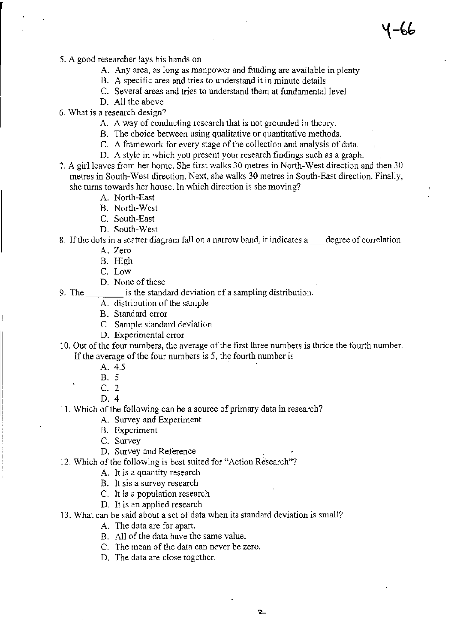- 5. A good researcher lays his hands on
	- A. Any area, as long as manpower and funding are available in plenty
	- B. A specific area and tries to understand it in minute details
	- C. Several areas and tries to understand them at fundamental level
	- D. All the above
- 6. What is a research design?
	- A. A way of conducting research that is not grounded in theory.
	- B. The choice between using qualitative or quantitative methods.
	- C. A framework for every stage of the collection and analysis of data.
	- D. A style in which you present your research findings such as a graph.
- 7. A girl leaves from her home. She first walks 30 metres in North-West direction and then 30 metres in South-West direction. Next, she walks 30 metres in South-East direction. Finally, she turns towards her house. In which direction is she moving?
	- A. North-East
	- B. North-West
	- C. South-East
	- D. South-West
- 8. If the dots in a scatter diagram fall on a narrow band, it indicates a degree of correlation.
	- A. Zero
	- B. High
	- C. Low
	- D. None of these
- 9. The standard deviation of a sampling distribution.
	- A. distribution of the sample
	- B. Standard error
	- C. Sample standard deviation
	- D. Experimental error

10. Out of the four numbers, the average of the first three numbers is thrice the fourth number. If the average of the four numbers is 5, the fourth number is

- A. 4.5
- B. 5
- C. 2
- D. 4

11. Which of the following can be a source of primary data in research?

- A. Survey and Experiment
- B. Experiment
- C. Survey
- D. Survey and Reference
- 12. Which of the following is best suited for "Action Research"?
	- A. It is a quantity research
	- B. It sis a survey research
	- C. It is a population research
	- D. It is an applied research

#### 13. What can be said about a set of data when its standard deviation is small?

- A. The data are far apart.
- B. All of the data have the same value.
- C. The mean of the data can never be zero.
- D. The data are close together.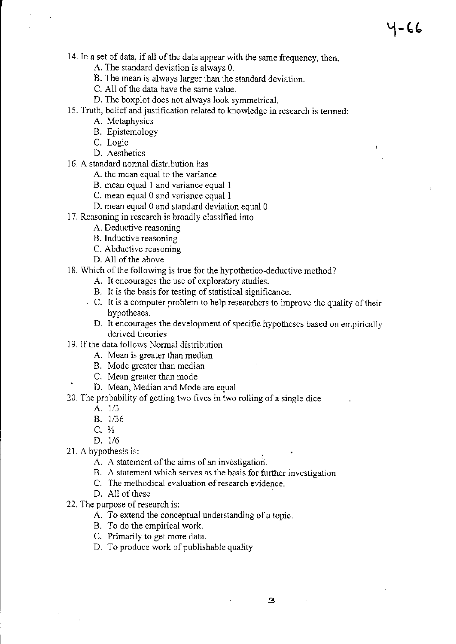14. In a set of data, if all of the data appear with the same frequency, then,

1-66

A. The standard deviation is always O.

- B. The mean is always larger than the standard deviation.
- C. All of the data have the same value.
- D. The boxplot does not always look symmetricaL
- 15. Truth, belief and justification related to knowledge in research is tenned:
	- A. Metaphysics
	- B. Epistemology
	- C. Logic
	- D. Aesthetics
- 16. A standard normal distribution has
	- A. the mean equal to the variance
	- B. mean equal 1 and variance equal 1
	- C. mean equal 0 and variance equal 1
	- D. mean equal 0 and standard deviation equal 0
- 17. Reasoning in research is broadly classified into
	- A. Deductive reasoning
	- B. Inductive reasoning
	- C. Abductive reasoning
	- D. All of the above
- 18. Which of the following is true for the hypothetico-deductive method?
	- A. It encourages the use of exploratory studies.
	- B. It is the basis for testing of statistical significance.
	- C. It is a computer problem to help researchers to improve the quality of their hypotheses.
	- D. It encourages the development of specific hypotheses based on empirically derived theories
- 19. If the data follows Normal distribution
	- A. Mean is greater than median
	- B. Mode greater than median
	- C. Mean greater than mode
	- D. Mean, Median and Mode are equal
- 20. The probability of getting two fives in two rolling of a single dice
	- A. 1/3
	- B. 1/36
	- $C. \frac{1}{2}$
	- D. 1/6
- 21. A hypothesis is:
	- A. A statement of the aims of an investigation.
	- B. A statement which serves as the basis for further investigation
	- C. The methodical evaluation of research evidence.
	- D. All of these
- 22. The purpose of research is:
	- A. To extend the conceptual understanding of a topic.
	- B. To do the empirical work.
	- C. Primarily to get more data.
	- D. To produce work of publishable quality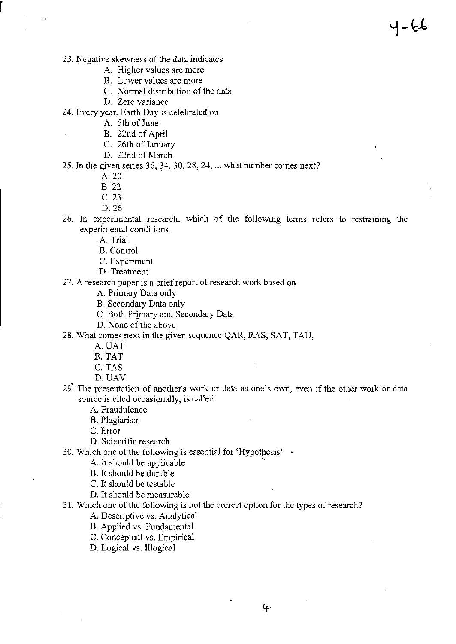- 23. Negative skewness of the data indicates
	- A. Higher values are more
	- B. Lower values are more
	- C. Normal distribution of the data
	- D. Zero variance

24. Every year, Earth Day is celebrated on

- A. 5th of June
- B. 22nd of April
- C. 26th of January
- D. 22nd of March
- 25. In the given series 36, 34, 30, 28, 24, ... what number comes next?
	- A.20
	- B.22
	- C.23
	- D.26
- 26. In experimental research, which of the following terms refers to restraining the experimental conditions

4-66

- A. Trial
- B. Control
- C. Experiment
- D. Treatment
- 27. A research paper is a brief report of research work based on
	- A. Primary Data only
	- B. Secondary Data only
	- C. Both Primary and Secondary Data
	- D. None of the above
- 28. What comes next in the given sequence QAR, RAS, SAT, TAU,
	- A.UAT
	- B. TAT
	- C. TAS
	- D.UAV
- 29~ The presentation of another's work or data as one's own, even if the other work or data source is cited occasionally, is called:

A. Fraudulence

- B. Plagiarism
- C. Error
- D. Scientific research
- 30. Which one of the following is essential for 'Hypothesis'  $\cdot$

A. It should be applicable .

- B. It should be durable
- C. It should be testable
- D. It should be measurable
- 31. Which one of the following is not the correct option for the types of research?
	- A. Descriptive vs. Analytical
	- B. Applied vs. Fundamental
	- C. Conceptual vs. Empirical
	- D. Logical vs. Illogical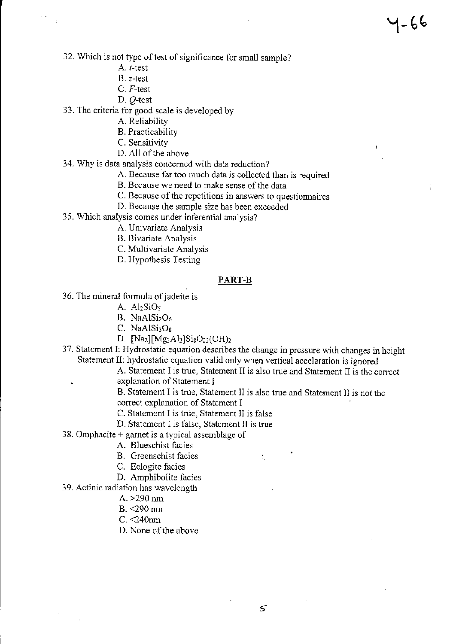- A. I-test
- B. z-test
- C. *F-test*
- D. Q-test
- 33. The criteria for good scale is developed by
	- A. Reliability
	- B. Practicability
	- C. Sensitivity
	- D. All of the above
- 34. Why is data analysis concerned with data reduction?
	- A. Because far too much data is collected than is required

4-66

- B. Because we need to make sense of the data
- C. Because of the repetitions in answers to questionnaires
- D. Because the sample size has been exceeded
- 35. Which analysis comes under inferential analysis?
	- A. Univariate Analysis
	- B. Bivariate Analysis
	- C. Multivariate Analysis
	- D. Hypothesis Testing

### PART-B

- 36. The mineral formula of jadeite is
	- A.  $Al<sub>2</sub>SiO<sub>5</sub>$
	- B. NaAlSi<sub>2</sub>O<sub>6</sub>
	- $C.$  NaAlSi<sub>3</sub>O<sub>8</sub>
	- D.  $[Na_2][Mg_3Al_2]Si_8O_{22}(OH)_2$
- 37. Statement I: Hydrostatic equation describes the change in pressure with changes in height Statement II: hydrostatic equation valid only when vertical acceleration is ignored
	- A. Statement I is true, Statement II is also true and Statement II is the correct explanation of Statement I

 $\mathcal{I}_\mathrm{L}$ 

- B. Statement I is true, Statement II is also true and Statement II is not the correct explanation of Statement I
- C. Statement I is true, Statement II is false
- D. Statement I is false, Statement II is true
- 38. Omphacite + garnet is a typical assemblage of
	- A. Blueschist facies
	- B. Greenschist facies
	- C. Eclogite facies
	- D. Amphibolite facies
- 39. Actinic radiation has wavelength
	- A.  $>290$  nm
	- $B. < 290$  nm
	- $C. < 240$ nm
	- D. None of the above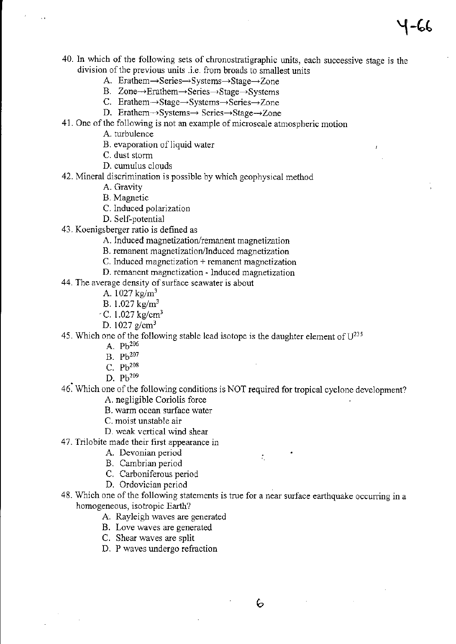40. In which of the following sets of chronostratigraphic units, each successive stage is the division of the previous units .i.e. from broads to smallest units

1−66

- A. Erathem→Series→Systems→Stage→Zone
- B. Zone→Erathem→Series→Stage→Systems
- C. Erathem $\rightarrow$ Stage $\rightarrow$ Systems $\rightarrow$ Series $\rightarrow$ Zone
- D. Erathem $\rightarrow$ Systems $\rightarrow$  Series $\rightarrow$ Stage $\rightarrow$ Zone
- 41. One of the following is not an example of microscale atmospheric motion
	- A. turbulence
	- B. evaporation of liquid water
	- C. dust storm
	- D. cumulus clouds
- 42. Mineral discrimination is possible by which geophysical method
	- A. Gravity
	- B. Magnetic
	- C. Induced polarization
	- D. Self-potential
- 43. Koenigsberger ratio is defined as
	- A. Induced magnetization/remanent magnetization
	- B. remanent magnetization/Induced magnetization
	- C. Induced magnetization + remanent magnetization
	- D. remanent magnetization Induced magnetization

44. The average density of surface seawater is about

- A.  $1027 \text{ kg/m}^3$
- B. 1.027 kg/m'
- $-C. 1.027$  kg/cm<sup>3</sup>
- D. 1027  $g/cm^3$
- 45. Which one of the following stable lead isotope is the daughter element of  $U^{235}$ 
	- A.  $Pb^{206}$
	- B. Pb<sup>207</sup>
	- C.  $Pb^{208}$
	- D. Pb<sup>209</sup>
- 46~ Which one of the following conditions is NOT required for tropical cyclone development? A. negligible Coriolis force
	- B. warm ocean surface water
	- C. moist unstable air
	- D. weak vertical wind shear
- 47. Trilobite made their first appearance in
	- A. Devonian period
	- B. Cambrian period
	- C. Carboniferous period
	- D. Ordovician period
- 48. Which one of the following statements is true for a near surface earthquake occurring in a homogeneous, isotropic Earth?
	- A. Rayleigh waves are generated
	- B. Love waves are generated
	- C. Shear waves are split
	- D. P waves undergo refraction

÷,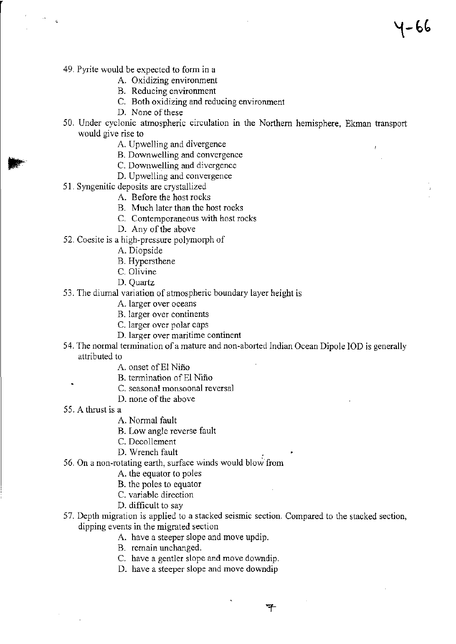- 49. Pyrite would be expected to form in a
	- A. Oxidizing environment
	- B. Reducing environment
	- C. Both oxidizing and reducing environment
	- D. None of these
- 50. Under cyclonic atmospheric circulation in the Northern hemisphere, Ekman transport would give rise to

1–66

- A. Upwelling and divergence
- B. Downwelling and convergence
- C. Downwelling and divergence
- D. Upwelling and convergence
- 51. Syngenitic deposits are crystallized
	- A. Before the host rocks
	- B. Much later than the host rocks
	- C. Contemporaneous with host rocks
	- D. Any of the above
- 52. Coesite is a high-pressure polymorph of
	- A. Diopside
	- B. Hypersthene
	- C. Olivine
	- D. Quartz
- 53. The diurnal variation of atmospheric boundary layer height is
	- A. larger over oceans
	- B. larger over continents
	- C. larger over polar caps
	- D. larger over maritime continent
- 54. The normal termination of a mature and non-aborted Indian Ocean Dipole IOD is generally attributed to
	- A. onset of El Niño
	- B. termination of EI Nifio
	- C. seasonal monsoonal reversal
	- D. none of the above
- 55. A thrust is a
	- A. Normal fault
	- B. Low angle reverse fault
	- C. Decollement
	- D. Wrench fault
- 56. On a non-rotating earth, surface winds would blow from
	- A. the equator to poles
	- B. the poles to equator
	- C. variable direction
	- D. difficult to say
- 57. Depth migration is applied to a stacked seismic section. Compared to the stacked section, dipping events in the migrated section
	- A. have a steeper slope and move updip.
	- B. remain unchanged.
	- C. have a gentler slope and move downdip.
	- D. have a steeper slope and move downdip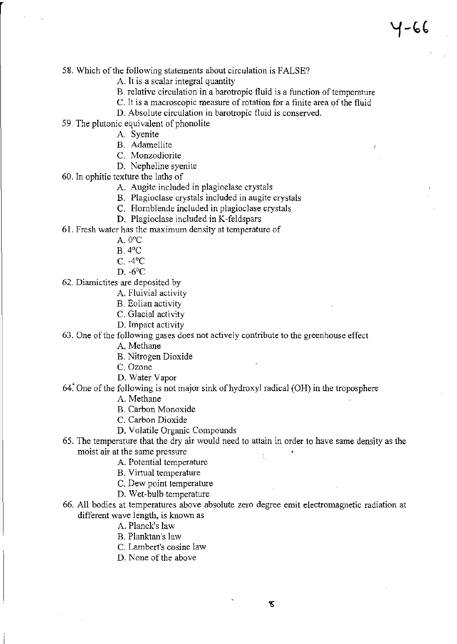- 58. Which of the following statements about circulation is FALSE?
	- A. It is a scalar integral quantity
	- B. relative circulation in a barotropic fluid is a function of temperature
	- C. It is a macroscopic measure of rotation for a finite area of the fluid
	- D. Absolute circulation in barotropic fluid is conserved.
- 59. The plutonic equivalent of phonolite
	- A. Syenite
	- B. Adamellite
	- C. Monzodiorite
	- D. Nepheline syenite
- 60. In ophitic texture the laths of
	- A. Augite included in plagioclase crystals
	- B. Plagioclase crystals included in augite crystals
	- C. Hornblende included in plagioclase crystals
	- D. Plagioclase included in K-feldspars
- 61. Fresh water has the maximum density at temperature of
	- A.  $0^{\circ}$ C
	- B.4'C
	- $C. -4$ <sup>o</sup> $C$
	- D. -6'C
- 62. Diamictites are deposited by
	- A. Fluivial activity
	- B. Eolian activity
	- C. Glacial activity
	- D. Impact activity

63. One of the following gases does not actively contribute to the greenhouse effect

A. Methane

- B. Nitrogen Dioxide
- C. Ozone
- D. Water Vapor
- 64~ One of the following is not major sink of hydroxyl radical (OR) in the troposphere
	- A. Methane
	- B. Carbon Monoxide
	- C. Carbon Dioxide
	- D. Volatile Organic Compounds
- 65. The temperature that the dry air would need to attain in order to have same density as the moist air at the same pressure  $\mathcal{I}_1$ 
	- A. Potential temperature
	- B. Virtual temperature
	- C. Dew point temperature
	- D. Wet-bulb temperature
- 66. All bodies at temperatures above absolute zero degree emit electromagnetic radiation at different wave length, is known as
	- A. Planck's law
	- B. Planktan's law
	- C. Lambert's cosine law
	- D. None of the above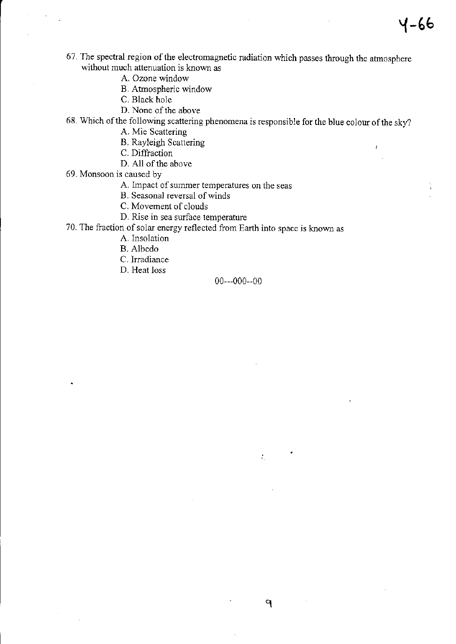- 67. The spectral region of the electromagnetic radiation which passes through the atmosphere without much attenuation is known as
	- A. Ozone window
	- B. Atmospheric window
	- C. Black hole
	- D. None of the above

68. Which of the following scattering phenomena is responsible for the blue colour of the sky?

A. Mie Scattering

B. Rayleigh Scattering

C. Diffraction

- D. All of the above
- 69. Monsoon is caused by
	- A. Impact of summer temperatures on the seas
	- B. Seasonal reversal of winds
	- C. Movement of clouds
	- D. Rise in sea surface temperature

70. The fraction of solar energy reflected from Earth into space is known as

- A. Insolation
- B. Albedo
- C. Irradiance
- D. Heat loss

### 00---000--00

9

 $\mathcal{I}_\mathrm{L}$ 

j.